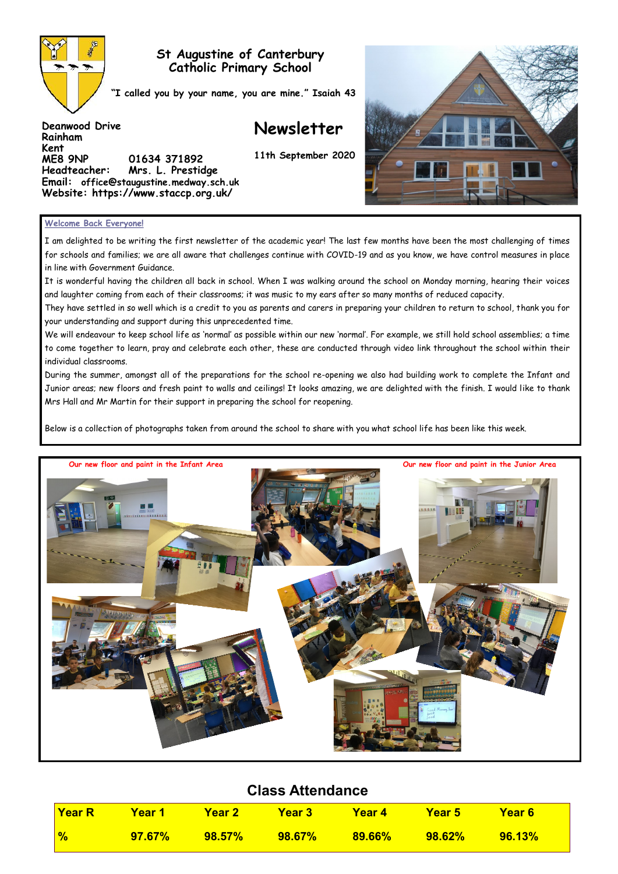

**Deanwood Drive**

**Rainham Kent** 

# **St Augustine of Canterbury Catholic Primary School**

**"I called you by your name, you are mine." Isaiah 43**

**ME8 9NP 01634 371892** 

**Headteacher: Mrs. L. Prestidge Email: office@staugustine.medway.sch.uk Website: https://www.staccp.org.uk/**

**Newsletter**

**11th September 2020**



#### **Welcome Back Everyone!**

I am delighted to be writing the first newsletter of the academic year! The last few months have been the most challenging of times for schools and families; we are all aware that challenges continue with COVID-19 and as you know, we have control measures in place in line with Government Guidance.

It is wonderful having the children all back in school. When I was walking around the school on Monday morning, hearing their voices and laughter coming from each of their classrooms; it was music to my ears after so many months of reduced capacity.

They have settled in so well which is a credit to you as parents and carers in preparing your children to return to school, thank you for your understanding and support during this unprecedented time.

We will endeavour to keep school life as 'normal' as possible within our new 'normal'. For example, we still hold school assemblies; a time to come together to learn, pray and celebrate each other, these are conducted through video link throughout the school within their individual classrooms.

During the summer, amongst all of the preparations for the school re-opening we also had building work to complete the Infant and Junior areas; new floors and fresh paint to walls and ceilings! It looks amazing, we are delighted with the finish. I would like to thank Mrs Hall and Mr Martin for their support in preparing the school for reopening.

Below is a collection of photographs taken from around the school to share with you what school life has been like this week.



# **Class Attendance**

| Year R        | Year 1    | <b>TYear 2</b>       | <b>Year 3</b>     | - Year 4  | <b>Year 5</b> | <b>Year 6</b> |
|---------------|-----------|----------------------|-------------------|-----------|---------------|---------------|
| $\frac{1}{2}$ | $97.67\%$ | $\overline{98.57\%}$ | <u>2009.67% /</u> | $89.66\%$ | $98.62\%$     | $-96.13\%$    |